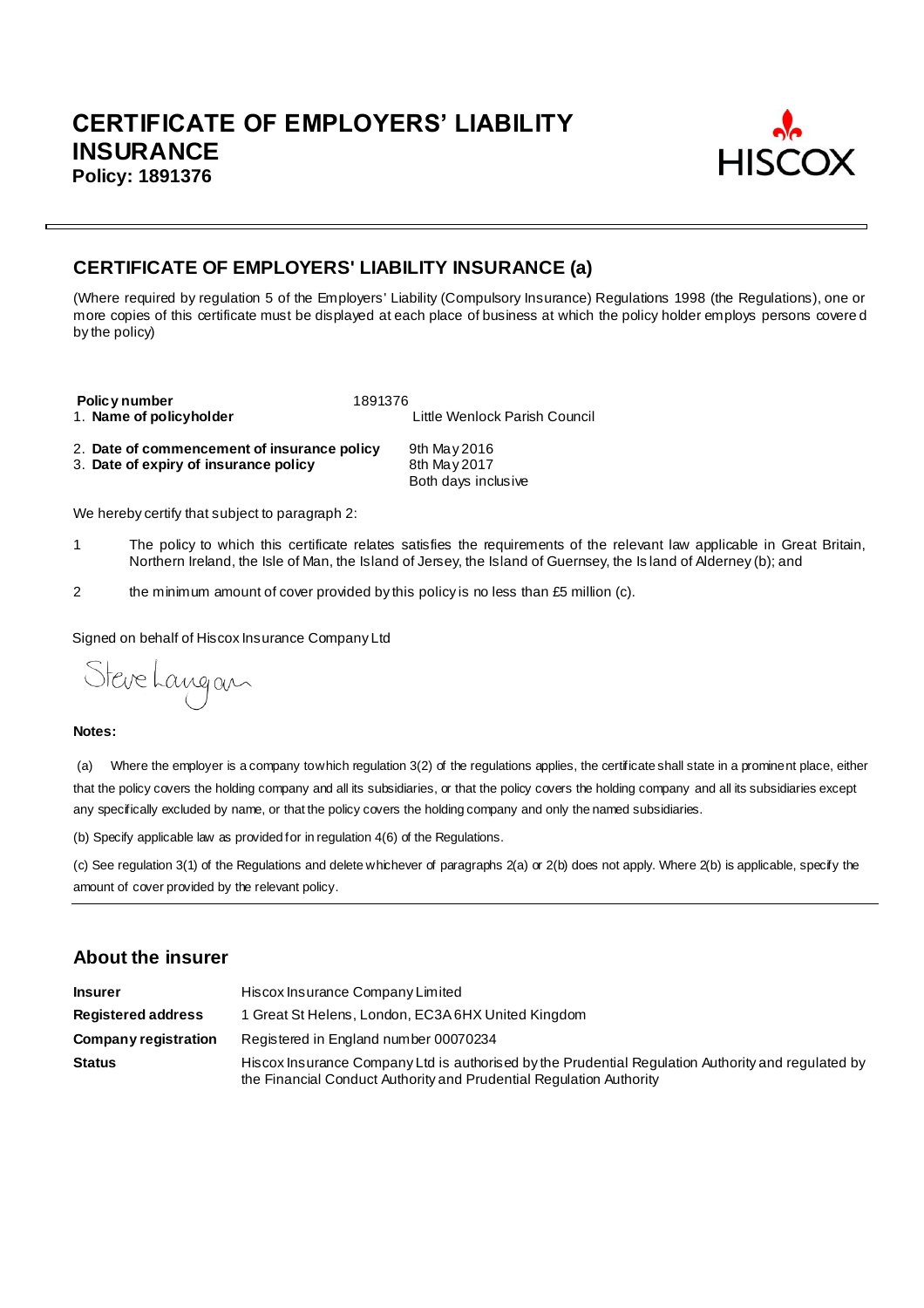

# **CERTIFICATE OF EMPLOYERS' LIABILITY INSURANCE (a)**

(Where required by regulation 5 of the Employers' Liability (Compulsory Insurance) Regulations 1998 (the Regulations), one or more copies of this certificate must be displayed at each place of business at which the policy holder employs persons covere d by the policy)

**Policy number** 1891376<br>1. **Name of policyholder** 

Little Wenlock Parish Council

2. **Date of commencement of insurance policy** 9th May 2016<br>3. **Date of expiry of insurance policy** 8th May 2017 3. Date of expiry of insurance policy

Both days inclusive

We hereby certify that subject to paragraph 2:

- 1 The policy to which this certificate relates satisfies the requirements of the relevant law applicable in Great Britain, Northern Ireland, the Isle of Man, the Island of Jersey, the Island of Guernsey, the Is land of Alderney (b); and
- 2 the minimum amount of cover provided by this policy is no less than £5 million (c).

Signed on behalf of Hiscox Insurance Company Ltd

Steve Langan

#### **Notes:**

(a) Where the employer is a company to which regulation 3(2) of the regulations applies, the certificate shall state in a prominent place, either that the policy covers the holding company and all its subsidiaries, or that the policy covers the holding company and all its subsidiaries except any specfically excluded by name, or that the policy covers the holding company and only the named subsidiaries.

(b) Specify applicable law as provided for in regulation 4(6) of the Regulations.

(c) See regulation 3(1) of the Regulations and delete whichever of paragraphs 2(a) or 2(b) does not apply. Where 2(b) is applicable, specify the amount of cover provided by the relevant policy.

#### **About the insurer**

| <b>Insurer</b>            | Hiscox Insurance Company Limited                                                                                                                                          |  |  |  |
|---------------------------|---------------------------------------------------------------------------------------------------------------------------------------------------------------------------|--|--|--|
| <b>Registered address</b> | 1 Great St Helens, London, EC3A 6HX United Kingdom                                                                                                                        |  |  |  |
| Company registration      | Registered in England number 00070234                                                                                                                                     |  |  |  |
| <b>Status</b>             | Hiscox Insurance Company Ltd is authorised by the Prudential Regulation Authority and regulated by<br>the Financial Conduct Authority and Prudential Regulation Authority |  |  |  |